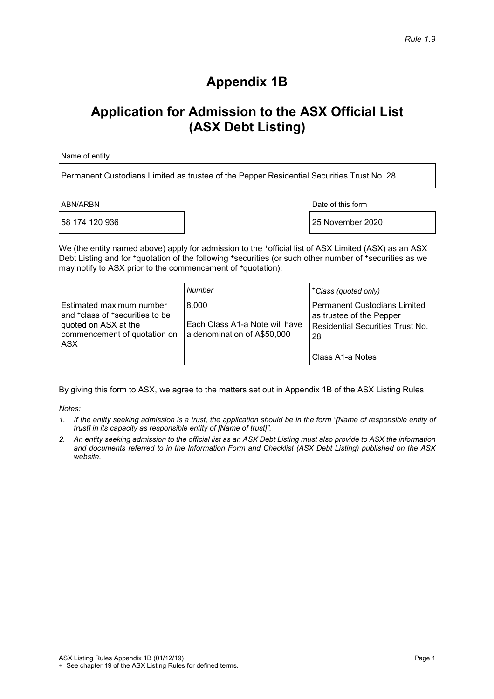### **Appendix 1B**

## **Application for Admission to the ASX Official List (ASX Debt Listing)**

Name of entity

Permanent Custodians Limited as trustee of the Pepper Residential Securities Trust No. 28

ABN/ARBN Date of this form

58 174 120 936 25 November 2020

We (the entity named above) apply for admission to the  $\cdot$ official list of ASX Limited (ASX) as an ASX Debt Listing and for  $*$ quotation of the following \*securities (or such other number of \*securities as we may notify to ASX prior to the commencement of  $*$ quotation):

|                                                                                                                                          | Number                                                                 | <sup>+</sup> Class (quoted only)                                                                                          |
|------------------------------------------------------------------------------------------------------------------------------------------|------------------------------------------------------------------------|---------------------------------------------------------------------------------------------------------------------------|
| Estimated maximum number<br>and <sup>+</sup> class of +securities to be<br>quoted on ASX at the<br>commencement of quotation on<br>I ASX | 8.000<br>Each Class A1-a Note will have<br>a denomination of A\$50,000 | Permanent Custodians Limited<br>as trustee of the Pepper<br>Residential Securities Trust No.<br>-28<br>l Class A1-a Notes |

By giving this form to ASX, we agree to the matters set out in Appendix 1B of the ASX Listing Rules.

*Notes:* 

- *1. If the entity seeking admission is a trust, the application should be in the form "[Name of responsible entity of trust] in its capacity as responsible entity of [Name of trust]".*
- *2. An entity seeking admission to the official list as an ASX Debt Listing must also provide to ASX the information and documents referred to in the Information Form and Checklist (ASX Debt Listing) published on the ASX website.*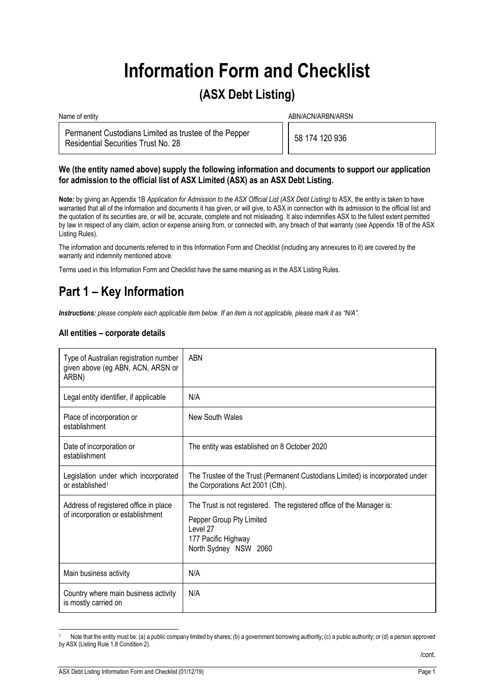# **Information Form and Checklist**

### **(ASX Debt Listing)**

Name of entity and the state of entity and the state of entity and the state of entity and the state of entity  $ABN/ACN/ARBN/ARSN$ 

Permanent Custodians Limited as trustee of the Pepper Permanent Custodians Limited as trustee of the Pepper<br>Residential Securities Trust No. 28

#### **We (the entity named above) supply the following information and documents to support our application for admission to the official list of ASX Limited (ASX) as an ASX Debt Listing.**

**Note:** by giving an Appendix 1B *Application for Admission to the ASX Official List (ASX Debt Listing)* to ASX, the entity is taken to have warranted that all of the information and documents it has given, or will give, to ASX in connection with its admission to the official list and the quotation of its securities are, or will be, accurate, complete and not misleading. It also indemnifies ASX to the fullest extent permitted by law in respect of any claim, action or expense arising from, or connected with, any breach of that warranty (see Appendix 1B of the ASX Listing Rules).

The information and documents referred to in this Information Form and Checklist (including any annexures to it) are covered by the warranty and indemnity mentioned above.

Terms used in this Information Form and Checklist have the same meaning as in the ASX Listing Rules.

## **Part 1 – Key Information**

*Instructions: please complete each applicable item below. If an item is not applicable, please mark it as "N/A".* 

#### **All entities – corporate details**

| Type of Australian registration number<br>given above (eg ABN, ACN, ARSN or<br>ARBN) | <b>ABN</b>                                                                                                                                                    |
|--------------------------------------------------------------------------------------|---------------------------------------------------------------------------------------------------------------------------------------------------------------|
| Legal entity identifier, if applicable                                               | N/A                                                                                                                                                           |
| Place of incorporation or<br>establishment                                           | New South Wales                                                                                                                                               |
| Date of incorporation or<br>establishment                                            | The entity was established on 8 October 2020                                                                                                                  |
| Legislation under which incorporated<br>or established <sup>1</sup>                  | The Trustee of the Trust (Permanent Custodians Limited) is incorporated under<br>the Corporations Act 2001 (Cth).                                             |
| Address of registered office in place<br>of incorporation or establishment           | The Trust is not registered. The registered office of the Manager is:<br>Pepper Group Pty Limited<br>Level 27<br>177 Pacific Highway<br>North Sydney NSW 2060 |
| Main business activity                                                               | N/A                                                                                                                                                           |
| Country where main business activity<br>is mostly carried on                         | N/A                                                                                                                                                           |

Note that the entity must be: (a) a public company limited by shares; (b) a government borrowing authority; (c) a public authority; or (d) a person approved by ASX (Listing Rule 1.8 Condition 2).

1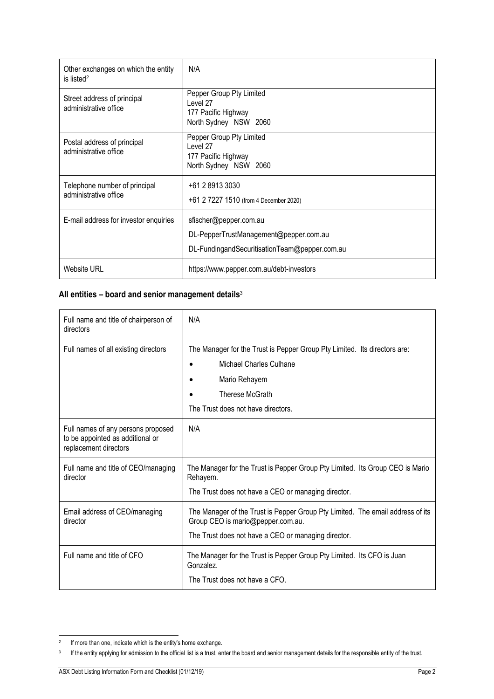| Other exchanges on which the entity<br>is listed <sup>2</sup> | N/A                                                                                                               |
|---------------------------------------------------------------|-------------------------------------------------------------------------------------------------------------------|
| Street address of principal<br>administrative office          | Pepper Group Pty Limited<br>Level 27<br>177 Pacific Highway<br>North Sydney NSW 2060                              |
| Postal address of principal<br>administrative office          | Pepper Group Pty Limited<br>Level 27<br>177 Pacific Highway<br>North Sydney NSW 2060                              |
| Telephone number of principal<br>administrative office        | +61 2 8913 3030<br>+61 2 7227 1510 (from 4 December 2020)                                                         |
| E-mail address for investor enquiries                         | sfischer@pepper.com.au<br>DL-PepperTrustManagement@pepper.com.au<br>DL-FundingandSecuritisationTeam@pepper.com.au |
| Website URL                                                   | https://www.pepper.com.au/debt-investors                                                                          |

### **All entities – board and senior management details**<sup>3</sup>

| Full name and title of chairperson of<br>directors                                              | N/A                                                                                                                                                                            |
|-------------------------------------------------------------------------------------------------|--------------------------------------------------------------------------------------------------------------------------------------------------------------------------------|
| Full names of all existing directors                                                            | The Manager for the Trust is Pepper Group Pty Limited. Its directors are:<br>Michael Charles Culhane<br>Mario Rehayem<br>Therese McGrath<br>The Trust does not have directors. |
| Full names of any persons proposed<br>to be appointed as additional or<br>replacement directors | N/A                                                                                                                                                                            |
| Full name and title of CEO/managing<br>director                                                 | The Manager for the Trust is Pepper Group Pty Limited. Its Group CEO is Mario<br>Rehayem.<br>The Trust does not have a CEO or managing director.                               |
| Email address of CEO/managing<br>director                                                       | The Manager of the Trust is Pepper Group Pty Limited. The email address of its<br>Group CEO is mario@pepper.com.au.<br>The Trust does not have a CEO or managing director.     |
| Full name and title of CFO                                                                      | The Manager for the Trust is Pepper Group Pty Limited. Its CFO is Juan<br>Gonzalez.<br>The Trust does not have a CFO.                                                          |

j <sup>2</sup> If more than one, indicate which is the entity's home exchange.

<sup>&</sup>lt;sup>3</sup> If the entity applying for admission to the official list is a trust, enter the board and senior management details for the responsible entity of the trust.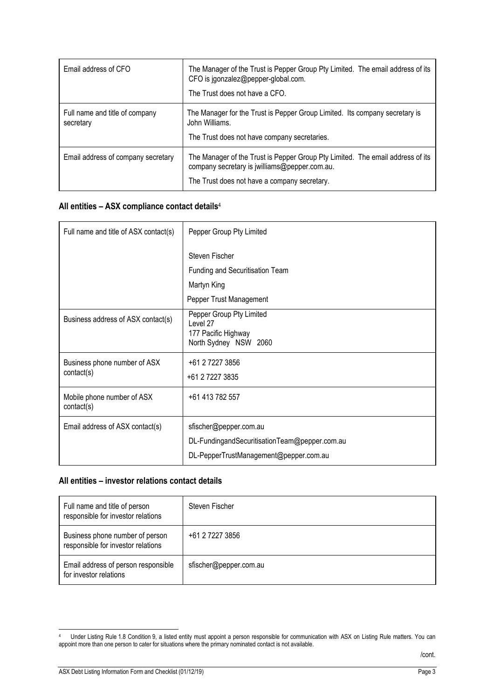| Email address of CFO                        | The Manager of the Trust is Pepper Group Pty Limited. The email address of its<br>CFO is jgonzalez@pepper-global.com.<br>The Trust does not have a CFO.                         |
|---------------------------------------------|---------------------------------------------------------------------------------------------------------------------------------------------------------------------------------|
| Full name and title of company<br>secretary | The Manager for the Trust is Pepper Group Limited. Its company secretary is<br>John Williams.<br>The Trust does not have company secretaries.                                   |
| Email address of company secretary          | The Manager of the Trust is Pepper Group Pty Limited. The email address of its<br>company secretary is jwilliams@pepper.com.au.<br>The Trust does not have a company secretary. |

### **All entities – ASX compliance contact details**<sup>4</sup>

| Full name and title of ASX contact(s)      | Pepper Group Pty Limited                                                                                          |
|--------------------------------------------|-------------------------------------------------------------------------------------------------------------------|
|                                            | Steven Fischer                                                                                                    |
|                                            | Funding and Securitisation Team                                                                                   |
|                                            | Martyn King                                                                                                       |
|                                            | Pepper Trust Management                                                                                           |
| Business address of ASX contact(s)         | Pepper Group Pty Limited<br>Level 27<br>177 Pacific Highway<br>North Sydney NSW 2060                              |
| Business phone number of ASX<br>contact(s) | +61 2 7227 3856<br>+61 2 7227 3835                                                                                |
| Mobile phone number of ASX<br>contact(s)   | +61 413 782 557                                                                                                   |
| Email address of ASX contact(s)            | sfischer@pepper.com.au<br>DL-FundingandSecuritisationTeam@pepper.com.au<br>DL-PepperTrustManagement@pepper.com.au |

#### **All entities – investor relations contact details**

| Full name and title of person<br>responsible for investor relations   | Steven Fischer         |
|-----------------------------------------------------------------------|------------------------|
| Business phone number of person<br>responsible for investor relations | +61 2 7227 3856        |
| Email address of person responsible<br>for investor relations         | sfischer@pepper.com.au |

1

<sup>4</sup> Under Listing Rule 1.8 Condition 9, a listed entity must appoint a person responsible for communication with ASX on Listing Rule matters. You can appoint more than one person to cater for situations where the primary nominated contact is not available.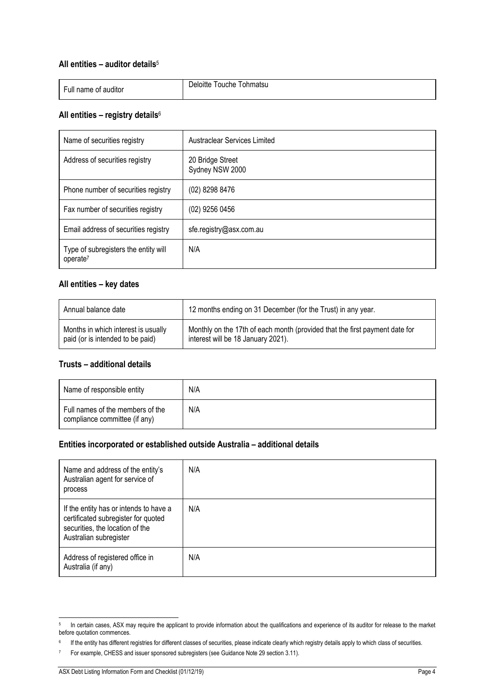#### **All entities – auditor details**<sup>5</sup>

| .<br>Full name of auditor | Tohmatsu<br>Jeloitte<br>l ouche |
|---------------------------|---------------------------------|
|                           |                                 |

#### **All entities – registry details**<sup>6</sup>

| Name of securities registry                                  | <b>Austraclear Services Limited</b> |
|--------------------------------------------------------------|-------------------------------------|
| Address of securities registry                               | 20 Bridge Street<br>Sydney NSW 2000 |
| Phone number of securities registry                          | (02) 8298 8476                      |
| Fax number of securities registry                            | (02) 9256 0456                      |
| Email address of securities registry                         | sfe.registry@asx.com.au             |
| Type of subregisters the entity will<br>operate <sup>7</sup> | N/A                                 |

#### **All entities – key dates**

| Annual balance date                 | 12 months ending on 31 December (for the Trust) in any year.                |
|-------------------------------------|-----------------------------------------------------------------------------|
| Months in which interest is usually | Monthly on the 17th of each month (provided that the first payment date for |
| paid (or is intended to be paid)    | interest will be 18 January 2021).                                          |

#### **Trusts – additional details**

| Name of responsible entity                                        | N/A |
|-------------------------------------------------------------------|-----|
| Full names of the members of the<br>compliance committee (if any) | N/A |

#### **Entities incorporated or established outside Australia – additional details**

| Name and address of the entity's<br>Australian agent for service of<br>process                                                             | N/A |
|--------------------------------------------------------------------------------------------------------------------------------------------|-----|
| If the entity has or intends to have a<br>certificated subregister for quoted<br>securities, the location of the<br>Australian subregister | N/A |
| Address of registered office in<br>Australia (if any)                                                                                      | N/A |

j In certain cases, ASX may require the applicant to provide information about the qualifications and experience of its auditor for release to the market before quotation commences.

<sup>&</sup>lt;sup>6</sup> If the entity has different registries for different classes of securities, please indicate clearly which registry details apply to which class of securities.

<sup>7</sup> For example, CHESS and issuer sponsored subregisters (see Guidance Note 29 section 3.11).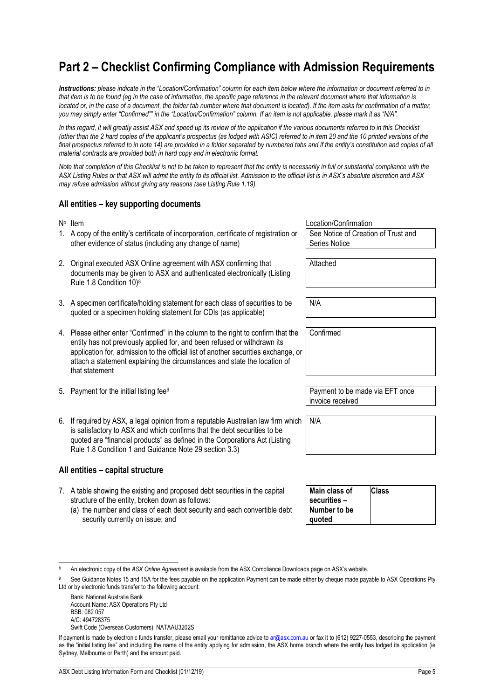## **Part 2 – Checklist Confirming Compliance with Admission Requirements**

*Instructions: please indicate in the "Location/Confirmation" column for each item below where the information or document referred to in that item is to be found (eg in the case of information, the specific page reference in the relevant document where that information is located or, in the case of a document, the folder tab number where that document is located). If the item asks for confirmation of a matter, you may simply enter "Confirmed"" in the "Location/Confirmation" column. If an item is not applicable, please mark it as "N/A".*

In this regard, it will greatly assist ASX and speed up its review of the application if the various documents referred to in this Checklist *(other than the 2 hard copies of the applicant's prospectus (as lodged with ASIC) referred to in item 20 and the 10 printed versions of the*  final prospectus referred to in note 14) are provided in a folder separated by numbered tabs and if the entity's constitution and copies of all *material contracts are provided both in hard copy and in electronic format.* 

*Note that completion of this Checklist is not to be taken to represent that the entity is necessarily in full or substantial compliance with the ASX Listing Rules or that ASX will admit the entity to its official list. Admission to the official list is in ASX's absolute discretion and ASX may refuse admission without giving any reasons (see Listing Rule 1.19).* 

#### **All entities – key supporting documents**

|    | $N^{\circ}$ Item                                                                                                                                                                                                                                                                                                                                   | Location/Confirmation                                       |
|----|----------------------------------------------------------------------------------------------------------------------------------------------------------------------------------------------------------------------------------------------------------------------------------------------------------------------------------------------------|-------------------------------------------------------------|
|    | 1. A copy of the entity's certificate of incorporation, certificate of registration or<br>other evidence of status (including any change of name)                                                                                                                                                                                                  | See Notice of Creation of Trust and<br><b>Series Notice</b> |
| 2. | Original executed ASX Online agreement with ASX confirming that                                                                                                                                                                                                                                                                                    | Attached                                                    |
|    | documents may be given to ASX and authenticated electronically (Listing<br>Rule 1.8 Condition 10) <sup>8</sup>                                                                                                                                                                                                                                     |                                                             |
|    |                                                                                                                                                                                                                                                                                                                                                    |                                                             |
|    | 3. A specimen certificate/holding statement for each class of securities to be<br>quoted or a specimen holding statement for CDIs (as applicable)                                                                                                                                                                                                  | N/A                                                         |
|    |                                                                                                                                                                                                                                                                                                                                                    |                                                             |
|    | 4. Please either enter "Confirmed" in the column to the right to confirm that the<br>entity has not previously applied for, and been refused or withdrawn its<br>application for, admission to the official list of another securities exchange, or<br>attach a statement explaining the circumstances and state the location of<br>that statement | Confirmed                                                   |
|    |                                                                                                                                                                                                                                                                                                                                                    |                                                             |
|    | 5. Payment for the initial listing fee <sup>9</sup>                                                                                                                                                                                                                                                                                                | Payment to be made via EFT once<br>invoice received         |
|    |                                                                                                                                                                                                                                                                                                                                                    |                                                             |
|    |                                                                                                                                                                                                                                                                                                                                                    |                                                             |

6. If required by ASX, a legal opinion from a reputable Australian law firm which N/A is satisfactory to ASX and which confirms that the debt securities to be quoted are "financial products" as defined in the Corporations Act (Listing Rule 1.8 Condition 1 and Guidance Note 29 section 3.3)

#### **All entities – capital structure**

- 7. A table showing the existing and proposed debt securities in the capital structure of the entity, broken down as follows:
	- (a) the number and class of each debt security and each convertible debt security currently on issue; and

| Main class of<br>securities – | <b>Class</b> |
|-------------------------------|--------------|
| Number to be                  |              |
| quoted                        |              |

Bank: National Australia Bank Account Name: ASX Operations Pty Ltd BSB: 082 057 A/C: 494728375

1

Swift Code (Overseas Customers): NATAAU3202S

<sup>8</sup> An electronic copy of the *ASX Online Agreement* is available from the ASX Compliance Downloads page on ASX's website.

See Guidance Notes 15 and 15A for the fees payable on the application Payment can be made either by cheque made payable to ASX Operations Pty Ltd or by electronic funds transfer to the following account:

If payment is made by electronic funds transfer, please email your remittance advice to ar@asx.com.au or fax it to (612) 9227-0553, describing the payment as the "initial listing fee" and including the name of the entity applying for admission, the ASX home branch where the entity has lodged its application (ie Sydney, Melbourne or Perth) and the amount paid.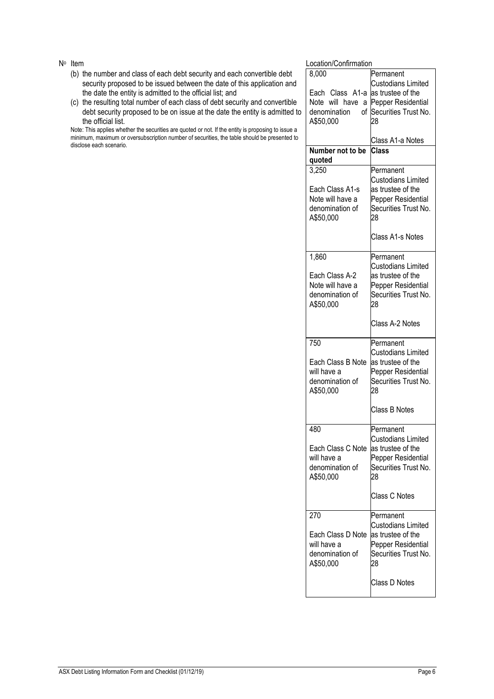- (b) the number and class of each debt security and each convertible debt security proposed to be issued between the date of this application and the date the entity is admitted to the official list; and
- (c) the resulting total number of each class of debt security and convertible debt security proposed to be on issue at the date the entity is admitted to the official list.

Note: This applies whether the securities are quoted or not. If the entity is proposing to issue a minimum, maximum or oversubscription number of securities, the table should be presented to disclose each scenario.

N<sup>o</sup> Item **Notation** and the *Notation* Confirmation **Notation** Location/Confirmation

| Location/Confirmation |                           |
|-----------------------|---------------------------|
| 8,000                 | Permanent                 |
|                       | Custodians Limited        |
| Each Class A1-a       | as trustee of the         |
| Note will<br>have a   | Pepper Residential        |
| denomination<br>οf    | Securities Trust No.      |
| A\$50,000             | 28                        |
|                       |                           |
|                       | Class A1-a Notes          |
| Number not to be      | Class                     |
| quoted                |                           |
| 3,250                 | Permanent                 |
|                       | Custodians Limited        |
| Each Class A1-s       | as trustee of the         |
| Note will have a      | Pepper Residential        |
|                       |                           |
| denomination of       | Securities Trust No.      |
| A\$50,000             | 28                        |
|                       |                           |
|                       | Class A1-s Notes          |
|                       |                           |
| 1,860                 | Permanent                 |
|                       | Custodians Limited        |
| Each Class A-2        | as trustee of the         |
| Note will have a      | Pepper Residential        |
| denomination of       | Securities Trust No.      |
| A\$50,000             | 28                        |
|                       |                           |
|                       | Class A-2 Notes           |
|                       |                           |
| 750                   | Permanent                 |
|                       |                           |
|                       | Custodians Limited        |
|                       |                           |
| Each Class B Note     | as trustee of the         |
| will have a           | Pepper Residential        |
| denomination of       | Securities Trust No.      |
| A\$50,000             | 28                        |
|                       |                           |
|                       | Class B Notes             |
|                       |                           |
| 480                   | Permanent                 |
|                       | <b>Custodians Limited</b> |
| Each Class C Note     | as trustee of the         |
| will have a           | Pepper Residential        |
| denomination of       | Securities Trust No.      |
| A\$50,000             | 28                        |
|                       |                           |
|                       | Class C Notes             |
|                       |                           |
| 270                   | Permanent                 |
|                       | Custodians Limited        |
| Each Class D Note     | as trustee of the         |
| will have a           | Pepper Residential        |
| denomination of       | Securities Trust No.      |
|                       | 28                        |
| A\$50,000             |                           |
|                       | Class D Notes             |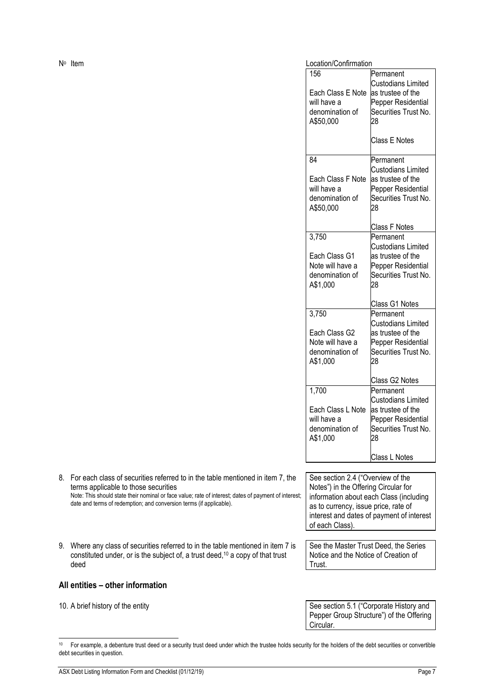| N <sup>o</sup> Item | Location/Confirmation                                                     |                                                                                                                                         |
|---------------------|---------------------------------------------------------------------------|-----------------------------------------------------------------------------------------------------------------------------------------|
|                     | 156<br>Each Class E Note<br>will have a<br>denomination of<br>A\$50,000   | Permanent<br><b>Custodians Limited</b><br>as trustee of the<br>Pepper Residential<br>Securities Trust No.<br>28                         |
|                     |                                                                           | <b>Class E Notes</b>                                                                                                                    |
|                     | 84<br>Each Class F Note<br>will have a<br>denomination of<br>A\$50,000    | Permanent<br><b>Custodians Limited</b><br>as trustee of the<br>Pepper Residential<br>Securities Trust No.<br>28<br><b>Class F Notes</b> |
|                     | 3,750<br>Each Class G1<br>Note will have a<br>denomination of<br>A\$1,000 | Permanent<br><b>Custodians Limited</b><br>as trustee of the<br>Pepper Residential<br>Securities Trust No.<br>28<br>Class G1 Notes       |
|                     | 3,750<br>Each Class G2<br>Note will have a<br>denomination of<br>A\$1,000 | Permanent<br><b>Custodians Limited</b><br>as trustee of the<br>Pepper Residential<br>Securities Trust No.<br>28<br>Class G2 Notes       |
|                     | 1,700<br>Each Class L Note<br>will have a<br>denomination of<br>A\$1,000  | Permanent<br><b>Custodians Limited</b><br>as trustee of the<br>Pepper Residential<br>Securities Trust No.<br>28<br>Class L Notes        |

- 8. For each class of securities referred to in the table mentioned in item 7, the terms applicable to those securities Note: This should state their nominal or face value; rate of interest; dates of payment of interest; date and terms of redemption; and conversion terms (if applicable).
- 9. Where any class of securities referred to in the table mentioned in item 7 is constituted under, or is the subject of, a trust deed,10 a copy of that trust deed

#### **All entities – other information**

j

See section 2.4 ("Overview of the Notes") in the Offering Circular for information about each Class (including as to currency, issue price, rate of interest and dates of payment of interest of each Class).

See the Master Trust Deed, the Series Notice and the Notice of Creation of Trust.

10. A brief history of the entity **See Section 5.1** ("Corporate History and Pepper Group Structure") of the Offering Circular.

<sup>&</sup>lt;sup>10</sup> For example, a debenture trust deed or a security trust deed under which the trustee holds security for the holders of the debt securities or convertible debt securities in question.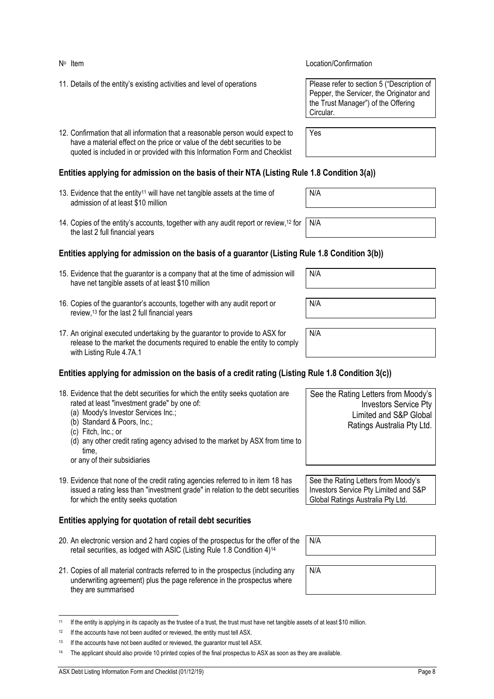j

#### No Item Location/Confirmation

- 11. Details of the entity's existing activities and level of operations
- 12. Confirmation that all information that a reasonable person would expect to have a material effect on the price or value of the debt securities to be quoted is included in or provided with this Information Form and Checklist

#### **Entities applying for admission on the basis of their NTA (Listing Rule 1.8 Condition 3(a))**

- 13. Evidence that the entity<sup>11</sup> will have net tangible assets at the time of admission of at least \$10 million
- 14. Copies of the entity's accounts, together with any audit report or review,12 for the last 2 full financial years

#### **Entities applying for admission on the basis of a guarantor (Listing Rule 1.8 Condition 3(b))**

- 15. Evidence that the guarantor is a company that at the time of admission will have net tangible assets of at least \$10 million
- 16. Copies of the guarantor's accounts, together with any audit report or review,13 for the last 2 full financial years
- 17. An original executed undertaking by the guarantor to provide to ASX for release to the market the documents required to enable the entity to comply with Listing Rule 4.7A.1

#### **Entities applying for admission on the basis of a credit rating (Listing Rule 1.8 Condition 3(c))**

| 18. Evidence that the debt securities for which the entity seeks quotation are<br>rated at least "investment grade" by one of:<br>(a) Moody's Investor Services Inc.;<br>(b) Standard & Poors, Inc.;<br>(c) Fitch, Inc.; or<br>(d) any other credit rating agency advised to the market by ASX from time to<br>time.<br>or any of their subsidiaries | See the Rating Letters from Moody's<br><b>Investors Service Pty</b><br>Limited and S&P Global<br>Ratings Australia Pty Ltd. |
|------------------------------------------------------------------------------------------------------------------------------------------------------------------------------------------------------------------------------------------------------------------------------------------------------------------------------------------------------|-----------------------------------------------------------------------------------------------------------------------------|
| 19. Evidence that none of the credit rating agencies referred to in item 18 has<br>issued a rating less than "investment grade" in relation to the debt securities<br>for which the entity seeks quotation                                                                                                                                           | See the Rating Letters from Moody's<br>Investors Service Pty Limited and S&P<br>Global Ratings Australia Pty Ltd.           |
|                                                                                                                                                                                                                                                                                                                                                      |                                                                                                                             |

#### **Entities applying for quotation of retail debt securities**

- 20. An electronic version and 2 hard copies of the prospectus for the offer of the retail securities, as lodged with ASIC (Listing Rule 1.8 Condition 4)14
- 21. Copies of all material contracts referred to in the prospectus (including any underwriting agreement) plus the page reference in the prospectus where they are summarised

| Please refer to section 5 ("Description of |
|--------------------------------------------|
| Pepper, the Servicer, the Originator and   |
| the Trust Manager") of the Offering        |
| Circular.                                  |

Yes

N/A

N/A

N/A N/A N/A

N/A

N/A

<sup>11</sup> If the entity is applying in its capacity as the trustee of a trust, the trust must have net tangible assets of at least \$10 million.

<sup>&</sup>lt;sup>12</sup> If the accounts have not been audited or reviewed, the entity must tell ASX.

 $13$  If the accounts have not been audited or reviewed, the quarantor must tell ASX.

<sup>&</sup>lt;sup>14</sup> The applicant should also provide 10 printed copies of the final prospectus to ASX as soon as they are available.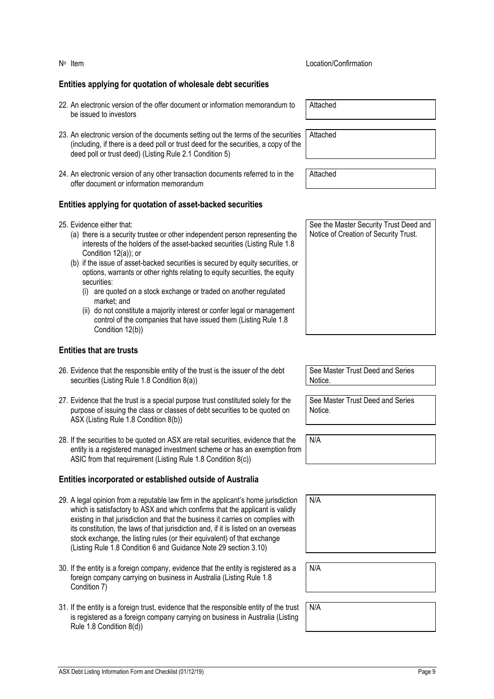#### **Entities applying for quotation of wholesale debt securities**

- 22. An electronic version of the offer document or information memorandum to be issued to investors
- 23. An electronic version of the documents setting out the terms of the securities (including, if there is a deed poll or trust deed for the securities, a copy of the deed poll or trust deed) (Listing Rule 2.1 Condition 5)
- 24. An electronic version of any other transaction documents referred to in the offer document or information memorandum

#### **Entities applying for quotation of asset-backed securities**

- 25. Evidence either that:
	- (a) there is a security trustee or other independent person representing the interests of the holders of the asset-backed securities (Listing Rule 1.8 Condition 12(a)); or
	- (b) if the issue of asset-backed securities is secured by equity securities, or options, warrants or other rights relating to equity securities, the equity securities:
		- (i) are quoted on a stock exchange or traded on another regulated market; and
		- (ii) do not constitute a majority interest or confer legal or management control of the companies that have issued them (Listing Rule 1.8 Condition 12(b))

#### **Entities that are trusts**

- 26. Evidence that the responsible entity of the trust is the issuer of the debt securities (Listing Rule 1.8 Condition 8(a))
- 27. Evidence that the trust is a special purpose trust constituted solely for the purpose of issuing the class or classes of debt securities to be quoted on ASX (Listing Rule 1.8 Condition 8(b))
- 28. If the securities to be quoted on ASX are retail securities, evidence that the entity is a registered managed investment scheme or has an exemption from ASIC from that requirement (Listing Rule 1.8 Condition 8(c))

#### **Entities incorporated or established outside of Australia**

- 29. A legal opinion from a reputable law firm in the applicant's home jurisdiction which is satisfactory to ASX and which confirms that the applicant is validly existing in that jurisdiction and that the business it carries on complies with its constitution, the laws of that jurisdiction and, if it is listed on an overseas stock exchange, the listing rules (or their equivalent) of that exchange (Listing Rule 1.8 Condition 6 and Guidance Note 29 section 3.10)
- 30. If the entity is a foreign company, evidence that the entity is registered as a foreign company carrying on business in Australia (Listing Rule 1.8 Condition 7)
- 31. If the entity is a foreign trust, evidence that the responsible entity of the trust is registered as a foreign company carrying on business in Australia (Listing Rule 1.8 Condition 8(d))

Attached

Attached

**Attached** 

See the Master Security Trust Deed and Notice of Creation of Security Trust.

See Master Trust Deed and Series Notice.

See Master Trust Deed and Series Notice.

N/A

| N/A |  |  |  |
|-----|--|--|--|
|     |  |  |  |
|     |  |  |  |
|     |  |  |  |

N/A

N/A

No Item Location/Confirmation